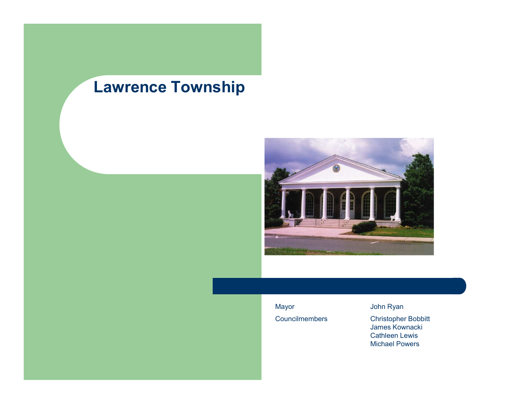

James Kownacki Cathleen Lewis Michael Powers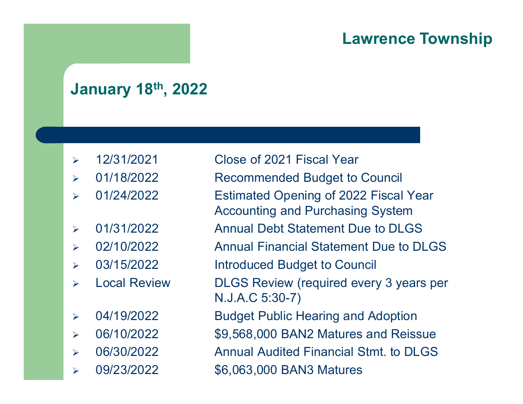# January 18th, 2022

- 
- 
- 
- 
- 
- 
- 
- 
- 
- 
- 

- Lawrence To<br>
January 18<sup>th</sup>, 2022<br>
> 12/31/2021 Close of 2021 Fiscal Year<br>
> 01/18/2022 Recommended Budget to Council<br>
> 01/24/2022 Estimated Opening of 2022 Fiscal Year Lawrence Tow<br>
January 18<sup>th</sup>, 2022<br>
<br>
<br>
<br>
201/18/2021 Close of 2021 Fiscal Year<br>
<br>
201/18/2022 Recommended Budget to Council<br>
201/24/2022 Estimated Opening of 2022 Fiscal Year<br>
Accounting and Purchasing System **Lawrence Township**<br> **January 18<sup>th</sup>, 2022**<br>
<br>
2022 Close of 2021 Fiscal Year<br>
201/18/2022 Recommended Budget to Council<br>
201/24/2022 Estimated Opening of 2022 Fiscal Year<br>
201/31/2022 Annual Debt Statement Due to DLGS Accounting and Purchasing System **January 18<sup>th</sup>, 2022**<br>
→ 12/31/2021 Close of 2021 Fiscal Year<br>
→ 01/18/2022 Recommended Budget to Council<br>
→ 01/24/2022 Estimated Opening of 2022 Fiscal Year<br>
→ 01/31/2022 Annual Debt Statement Due to DLGS<br>
→ 02/10/2022 **January 18<sup>th</sup>, 2022**<br>
→ 12/31/2021 Close of 2021 Fiscal Year<br>
→ 01/18/2022 Recommended Budget to Council<br>
→ 01/24/2022 Estimated Opening of 2022 Fiscal Year<br>
→ 01/31/2022 Annual Debt Statement Due to DLGS<br>
→ 02/10/2022
	-
	-

→ 12/31/2021<br>
→ 12/31/2021<br>
→ 01/18/2022<br>
→ 01/24/2022<br>
→ 01/31/2022<br>
→ 01/31/2022<br>
→ 02/10/2022<br>
→ 02/10/2022<br>
→ 03/15/2022<br>
→ 03/15/2022<br>
→ Docal Review<br>
→ DLGS Review (required every 3 years<br>
→ Local Review<br>
→ DLGS R Local Recommended Budget to Council<br>
→ 12/31/2022 Recommended Budget to Council<br>
→ 11/34/2022 Estimated Opening of 2022 Fiscal Year<br>
→ 11/31/2022 Annual Debt Statement Due to DLGS<br>
→ 22/10/2022 Annual Financial Statement N.J.A.C 5:30-7) → 12/31/2021 Close of 2021 Fiscal Year<br>
→ 01/18/2022 Recommended Budget to Council<br>
→ 01/24/2022 Estimated Opening of 2022 Fiscal Year<br>
→ 01/31/2022 Annual Debt Statement Due to DLGS<br>
→ 02/10/2022 Annual Financial Stateme 06/10/2022 \$9,568,000 BAN2 Matures and Reissue 06/30/2022<br>
Annual Debt Statement Due to DLGS<br>
Annual Debt Statement Due to DLGS<br>
202/10/2022<br>
Annual Financial Statement Due to DLGS<br>
203/15/2022<br>
Annual Financial Statement Due to DLGS<br>
203/15/2022<br>
Local Review<br>
DLGS R Accounting and Purchasing System<br>
→ 01/31/2022 Annual Debt Statement Due to DLGS<br>
→ 02/10/2022 Annual Financial Statement Due to DLGS<br>
→ 03/15/2022 Introduced Budget to Council<br>
→ Local Review DLGS Review (required every

- 
- 
- -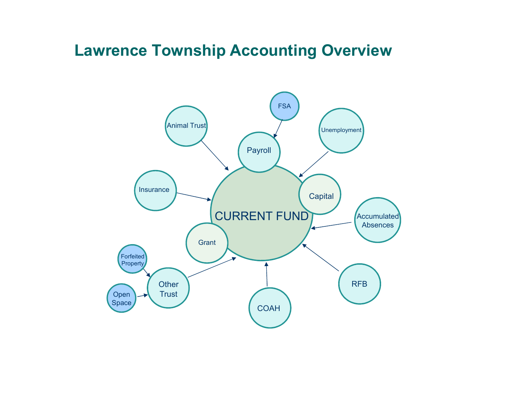# Lawrence Township Accounting Overview

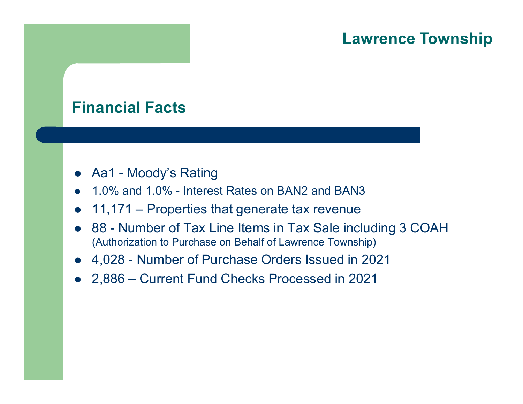# Financial Facts

- 
- 
- Financial Facts<br>● Aa1 Moody's Rating<br>● 1.0% and 1.0% Interest Rates on BAN2 and B<br>● 11,171 Properties that generate tax rever
- **Lawrence Townsh**<br>
Financial Facts<br>
 Aa1 Moody's Rating<br>
 1.0% and 1.0% Interest Rates on BAN2 and BAN3<br>
 11,171 Properties that generate tax revenue<br>
 88 Number of Tax Line Items in Tax Sale including 3 COAH Lawrence Towns<br>
Financial Facts<br>
● Aa1 - Moody's Rating<br>
● 1.0% and 1.0% - Interest Rates on BAN2 and BAN3<br>
● 11,171 – Properties that generate tax revenue<br>
● 88 - Number of Tax Line Items in Tax Sale including 3 COAH<br>
(A **Financial Facts**<br>
• Aa1 - Moody's Rating<br>
• 1.0% and 1.0% - Interest Rates on BAN2 and BAN3<br>
• 11,171 – Properties that generate tax revenue<br>
• 88 - Number of Tax Line Items in Tax Sale including 3 COAH<br>
(Authorization to (Authorization to Purchase on Behalf of Lawrence Township) Financial Facts<br>
● Aa1 - Moody's Rating<br>
● 1.0% and 1.0% - Interest Rates on BAN2 and BAN3<br>
● 11,171 – Properties that generate tax revenue<br>
● 88 - Number of Tax Line Items in Tax Sale including 3 COAH<br>
(Authorization to • Aa1 - Moody's Rating<br>
• 1.0% and 1.0% - Interest Rates on BAN2 and BAN3<br>
• 1.1,171 – Properties that generate tax revenue<br>
• 88 - Number of Tax Line Items in Tax Sale includ<br>
(Authorization to Purchase on Behalf of Lawr
- 
-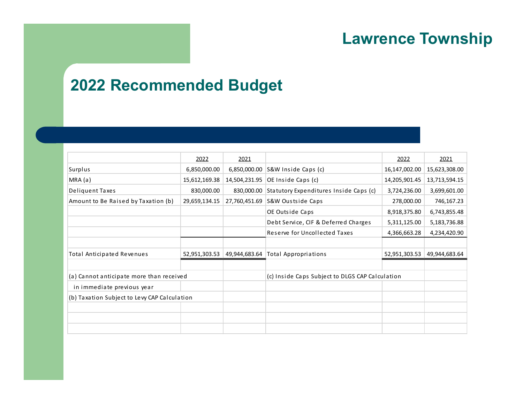# 2022 Recommended Budget

|                                                        |              |      |                                                                                                    | <b>Lawrence Township</b>   |                                   |
|--------------------------------------------------------|--------------|------|----------------------------------------------------------------------------------------------------|----------------------------|-----------------------------------|
| <b>2022 Recommended Budget</b>                         |              |      |                                                                                                    |                            |                                   |
|                                                        |              |      |                                                                                                    |                            |                                   |
|                                                        | 2022         | 2021 |                                                                                                    | 2022                       | 2021                              |
| Surplus                                                | 6,850,000.00 |      | 6,850,000.00 S&W Inside Caps (c)                                                                   |                            | 16,147,002.00   15,623,308.00     |
| MRA(a)                                                 | 830,000.00   |      | 15,612,169.38 14,504,231.95 OE Inside Caps (c)                                                     |                            | 14, 205, 901.45   13, 713, 594.15 |
| Deliquent Taxes<br>Amount to Be Raised by Taxation (b) |              |      | 830,000.00 Statutory Expenditures Inside Caps (c)<br>29,659,134.15 27,760,451.69 S&W Oustside Caps | 3,724,236.00<br>278,000.00 | 3,699,601.00<br>746,167.23        |
|                                                        |              |      | OE Outside Caps                                                                                    | 8,918,375.80               | 6,743,855.48                      |
|                                                        |              |      | Debt Service, CIF & Deferred Charges                                                               | 5,311,125.00               | 5,183,736.88                      |
|                                                        |              |      | Reserve for Uncollected Taxes                                                                      | 4,366,663.28               | 4,234,420.90                      |
| Total Anticipated Revenues                             |              |      | 52,951,303.53 49,944,683.64 Total Appropriations                                                   |                            | 52,951,303.53 49,944,683.64       |
| (a) Cannot anticipate more than received               |              |      | (c) Inside Caps Subject to DLGS CAP Calculation                                                    |                            |                                   |
| in immediate previous year                             |              |      |                                                                                                    |                            |                                   |
| (b) Taxation Subject to Levy CAP Calculation           |              |      |                                                                                                    |                            |                                   |
|                                                        |              |      |                                                                                                    |                            |                                   |
|                                                        |              |      |                                                                                                    |                            |                                   |
|                                                        |              |      |                                                                                                    |                            |                                   |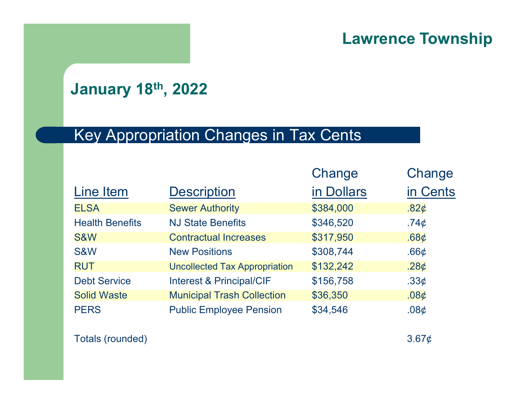# January 18th, 2022

# Key Appropriation Changes in Tax Cents

|                           |                                        |            | <b>Lawrence Township</b> |
|---------------------------|----------------------------------------|------------|--------------------------|
| <b>January 18th, 2022</b> |                                        |            |                          |
|                           | Key Appropriation Changes in Tax Cents |            |                          |
|                           |                                        | Change     | Change                   |
| Line Item                 | <b>Description</b>                     | in Dollars | in Cents                 |
| <b>ELSA</b>               | <b>Sewer Authority</b>                 | \$384,000  | .82 $\phi$               |
| <b>Health Benefits</b>    | <b>NJ State Benefits</b>               | \$346,520  | .74 $\phi$               |
| S&W                       | <b>Contractual Increases</b>           | \$317,950  | .68 <sub>¢</sub>         |
| <b>S&amp;W</b>            | <b>New Positions</b>                   | \$308,744  | .66 $\phi$               |
| <b>RUT</b>                | <b>Uncollected Tax Appropriation</b>   | \$132,242  | .28 $\phi$               |
| <b>Debt Service</b>       | Interest & Principal/CIF               | \$156,758  | .33 $\phi$               |
| <b>Solid Waste</b>        | <b>Municipal Trash Collection</b>      | \$36,350   | .08 <sub>¢</sub>         |
| <b>PERS</b>               | <b>Public Employee Pension</b>         | \$34,546   | .08 <sub>¢</sub>         |
| Totals (rounded)          |                                        |            | $3.67\phi$               |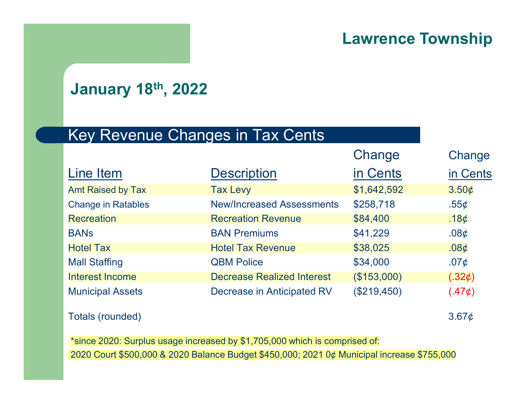# January 18th, 2022

# Key Revenue Changes in Tax Cents

|                           |                                                                                            | <b>Lawrence Township</b> |            |
|---------------------------|--------------------------------------------------------------------------------------------|--------------------------|------------|
| <b>January 18th, 2022</b> |                                                                                            |                          |            |
|                           | <b>Key Revenue Changes in Tax Cents</b>                                                    |                          |            |
|                           |                                                                                            | Change                   | Change     |
| Line Item                 | <b>Description</b>                                                                         | in Cents                 | in Cents   |
| <b>Amt Raised by Tax</b>  | <b>Tax Levy</b>                                                                            | \$1,642,592              | 3.50¢      |
| <b>Change in Ratables</b> | <b>New/Increased Assessments</b>                                                           | \$258,718                | .55 $\phi$ |
| <b>Recreation</b>         | <b>Recreation Revenue</b>                                                                  | \$84,400                 | .18 $\phi$ |
| <b>BANS</b>               | <b>BAN Premiums</b>                                                                        | \$41,229                 | .08 $\phi$ |
| <b>Hotel Tax</b>          | <b>Hotel Tax Revenue</b>                                                                   | \$38,025                 | $.08\phi$  |
| <b>Mall Staffing</b>      | <b>QBM Police</b>                                                                          | \$34,000                 | .07 $\phi$ |
| <b>Interest Income</b>    | <b>Decrease Realized Interest</b>                                                          | (\$153,000)              | (.32¢)     |
| <b>Municipal Assets</b>   | Decrease in Anticipated RV                                                                 | (\$219,450)              | (.47¢)     |
| <b>Totals (rounded)</b>   |                                                                                            |                          | $3.67\phi$ |
|                           | *since 2020: Surplus usage increased by \$1,705,000 which is comprised of:                 |                          |            |
|                           | 2020 Court \$500,000 & 2020 Balance Budget \$450,000; 2021 0¢ Municipal increase \$755,000 |                          |            |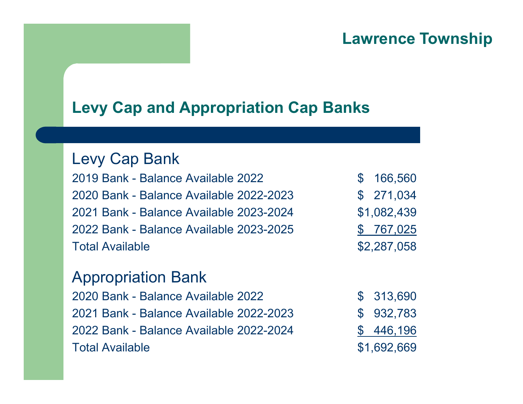# Levy Cap and Appropriation Cap Banks

#### Levy Cap Bank

**Lawrence Township<br>
Levy Cap and Appropriation Cap Banks<br>
Levy Cap Bank<br>
2019 Bank - Balance Available 2022<br>
2020 Bank - Balance Available 2022-2023<br>
2021 Bank - Balance Available 2023-2024<br>
31,082,439<br>
2021 Bank - Balance Levy Cap and Appropriation Cap Banks<br>
Levy Cap Bank<br>
Levy Cap Bank<br>
2019 Bank - Balance Available 2022<br>
2020 Bank - Balance Available 2022-2023<br>
2021 Bank - Balance Available 2023-2024<br>
2022 Bank - Balance Available 2023-Levy Cap and Appropriation Cap Banks<br>
Levy Cap Bank<br>
2019 Bank - Balance Available 2022<br>
2020 Bank - Balance Available 2022-2023<br>
2021 Bank - Balance Available 2023-2024<br>
2022 Bank - Balance Available 2023-2024<br>
31,082,43 Levy Cap and Appropriation Cap Banks<br>
Levy Cap Bank<br>
2019 Bank - Balance Available 2022<br>
2020 Bank - Balance Available 2022-2023<br>
2021 Bank - Balance Available 2023-2024<br>
2022 Bank - Balance Available 2023-2025<br>
Total Ava Levy Cap and Appropriation Cap Banks<br>
Levy Cap Bank<br>
2019 Bank - Balance Available 2022<br>
2020 Bank - Balance Available 2022-2023<br>
2021 Bank - Balance Available 2023-2024<br>
2022 Bank - Balance Available 2023-2025<br>
Total Av** 2020 Bank - Balance Available 2022<br>
2019 Bank - Balance Available 2022<br>
2020 Bank - Balance Available 2022-2023<br>
2022 Bank - Balance Available 2023-2024<br>
3 1,082,439<br>
2022 Bank - Balance Available 2023<br>
2020 Bank - Balance 2019 Bank - Balance Available 2022<br>
2019 Bank - Balance Available 2022-2023 \$ 271,034<br>
2021 Bank - Balance Available 2023-2024 \$1,082,439<br>
2022 Bank - Balance Available 2023-2025 \$ 767,025<br>
2022 Bank - Balance Available 20 2019 Bank - Balance Available 2022<br>
2020 Bank - Balance Available 2022-2023 \$ 271,034<br>
2021 Bank - Balance Available 2023-2024 \$1,082,439<br>
2022 Bank - Balance Available 2023-2025 \$ 767,025<br>
70325<br>
2020 Bank - Balance Avail 2019 Bank - Balance Available 2022<br>
2020 Bank - Balance Available 2022-2023<br>
2022 Bank - Balance Available 2023-2024<br>
3 1,082,439<br>
2022 Bank - Balance Available 2023-2025<br>
5 160,82,439<br>
2022 Bank - Balance Available 2022<br>

### Appropriation Bank

| \$<br>166,560 |
|---------------|
| \$271,034     |
| \$1,082,439   |
| \$767,025     |
| \$2,287,058   |

| \$<br>313,690 |
|---------------|
| \$<br>932,783 |
| \$<br>446,196 |
| \$1,692,669   |